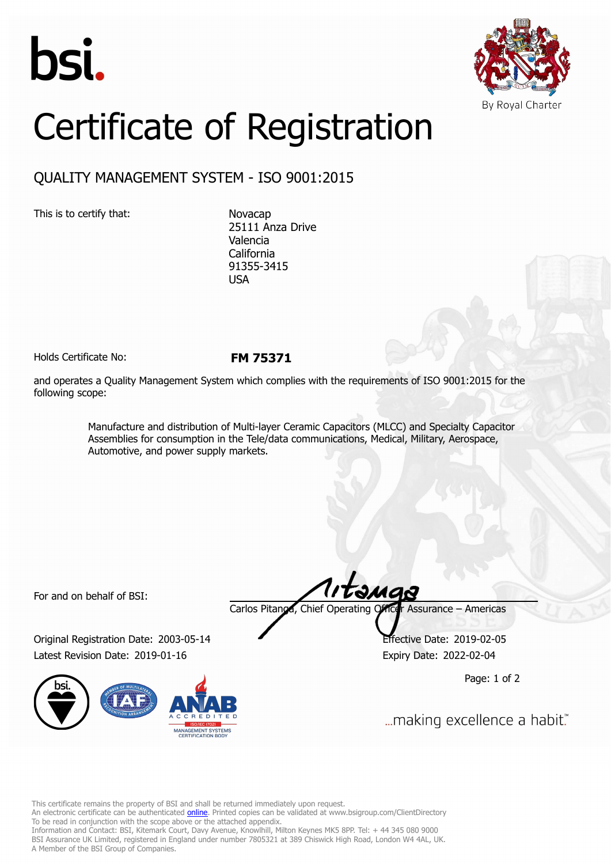



## Certificate of Registration

## QUALITY MANAGEMENT SYSTEM - ISO 9001:2015

This is to certify that: Novacap

25111 Anza Drive Valencia California 91355-3415 USA

Holds Certificate No: **FM 75371**

and operates a Quality Management System which complies with the requirements of ISO 9001:2015 for the following scope:

> Manufacture and distribution of Multi-layer Ceramic Capacitors (MLCC) and Specialty Capacitor Assemblies for consumption in the Tele/data communications, Medical, Military, Aerospace, Automotive, and power supply markets.

For and on behalf of BSI:

Original Registration Date: 2003-05-14 Effective Date: 2019-02-05 Latest Revision Date: 2019-01-16 Expiry Date: 2022-02-04



Carlos Pitanga, Chief Operating Officer Assurance – Americas

Page: 1 of 2

... making excellence a habit."

This certificate remains the property of BSI and shall be returned immediately upon request.

An electronic certificate can be authenticated *[online](https://pgplus.bsigroup.com/CertificateValidation/CertificateValidator.aspx?CertificateNumber=FM+75371&ReIssueDate=16%2f01%2f2019&Template=inc)*. Printed copies can be validated at www.bsigroup.com/ClientDirectory To be read in conjunction with the scope above or the attached appendix.

Information and Contact: BSI, Kitemark Court, Davy Avenue, Knowlhill, Milton Keynes MK5 8PP. Tel: + 44 345 080 9000 BSI Assurance UK Limited, registered in England under number 7805321 at 389 Chiswick High Road, London W4 4AL, UK. A Member of the BSI Group of Companies.